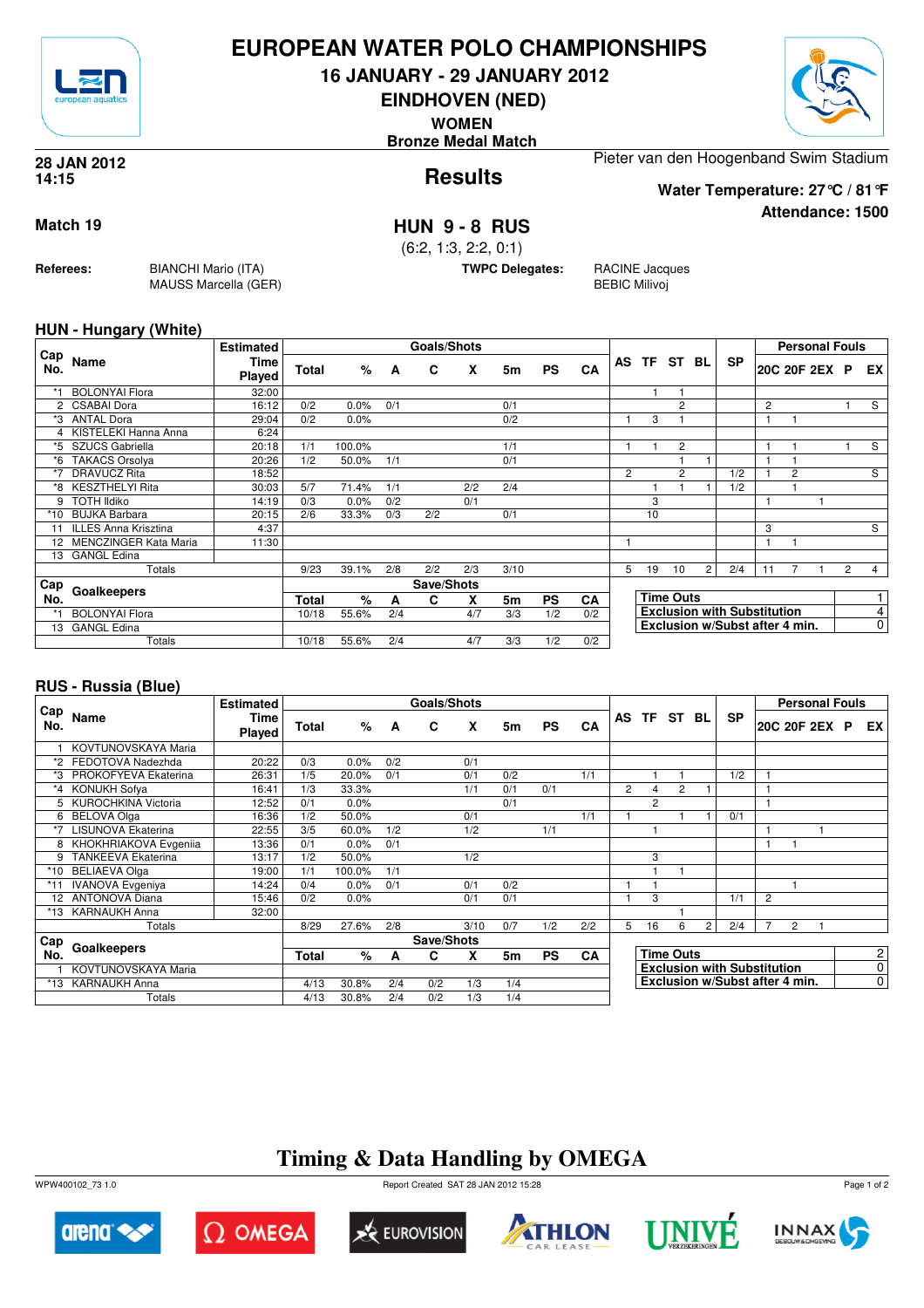

### **EUROPEAN WATER POLO CHAMPIONSHIPS**

**16 JANUARY - 29 JANUARY 2012**

**EINDHOVEN (NED)**

**WOMEN**

**Bronze Medal Match**



**Attendance: 1500**

**Results 28 JAN 2012 14:15**

Pieter van den Hoogenband Swim Stadium

**Water Temperature: 27°C / 81°F**

**Match 19 HUN 9 - 8 RUS**

(6:2, 1:3, 2:2, 0:1)

**TWPC Delegates:** RACINE Jacques

BEBIC Milivoj

#### **HUN - Hungary (White)**

**Referees:** BIANCHI Mario (ITA)

MAUSS Marcella (GER)

|                      |                             | <b>Estimated</b> |              |        |     | <b>Goals/Shots</b> |     |      |           |           |                |    |                  |                |                                    |                |                | <b>Personal Fouls</b> |                |                |
|----------------------|-----------------------------|------------------|--------------|--------|-----|--------------------|-----|------|-----------|-----------|----------------|----|------------------|----------------|------------------------------------|----------------|----------------|-----------------------|----------------|----------------|
| Cap<br>No.           | Name                        | Time<br>Played   | Total        | %      | A   | C                  | X   | 5m   | <b>PS</b> | <b>CA</b> |                |    | AS TF ST BL      |                | <b>SP</b>                          |                |                | 20C 20F 2EX P         |                | EX             |
|                      | <b>BOLONYAl Flora</b>       | 32:00            |              |        |     |                    |     |      |           |           |                |    |                  |                |                                    |                |                |                       |                |                |
| $\mathbf{2}^{\circ}$ | <b>CSABAI Dora</b>          | 16:12            | 0/2          | 0.0%   | 0/1 |                    |     | 0/1  |           |           |                |    | $\overline{2}$   |                |                                    | $\overline{c}$ |                |                       |                | S              |
| *3                   | <b>ANTAL Dora</b>           | 29:04            | 0/2          | 0.0%   |     |                    |     | 0/2  |           |           |                | 3  |                  |                |                                    | 1              |                |                       |                |                |
|                      | KISTELEKI Hanna Anna        | 6:24             |              |        |     |                    |     |      |           |           |                |    |                  |                |                                    |                |                |                       |                |                |
| *5                   | SZUCS Gabriella             | 20:18            | 1/1          | 100.0% |     |                    |     | 1/1  |           |           |                |    | $\overline{c}$   |                |                                    |                |                |                       |                | S              |
| *6                   | TAKACS Orsolya              | 20:26            | 1/2          | 50.0%  | 1/1 |                    |     | 0/1  |           |           |                |    |                  |                |                                    |                |                |                       |                |                |
| *7                   | <b>DRAVUCZ Rita</b>         | 18:52            |              |        |     |                    |     |      |           |           | $\overline{2}$ |    | $\overline{2}$   |                | 1/2                                |                | $\overline{2}$ |                       |                | S              |
| *8                   | <b>KESZTHELYI Rita</b>      | 30:03            | 5/7          | 71.4%  | 1/1 |                    | 2/2 | 2/4  |           |           |                |    |                  |                | 1/2                                |                |                |                       |                |                |
| 9                    | <b>TOTH Ildiko</b>          | 14:19            | 0/3          | 0.0%   | 0/2 |                    | 0/1 |      |           |           |                | 3  |                  |                |                                    |                |                |                       |                |                |
| *10                  | <b>BUJKA Barbara</b>        | 20:15            | 2/6          | 33.3%  | 0/3 | 2/2                |     | 0/1  |           |           |                | 10 |                  |                |                                    |                |                |                       |                |                |
| 11                   | <b>ILLES Anna Krisztina</b> | 4:37             |              |        |     |                    |     |      |           |           |                |    |                  |                |                                    | 3              |                |                       |                | S              |
|                      | 12 MENCZINGER Kata Maria    | 11:30            |              |        |     |                    |     |      |           |           |                |    |                  |                |                                    |                |                |                       |                |                |
| 13                   | <b>GANGL Edina</b>          |                  |              |        |     |                    |     |      |           |           |                |    |                  |                |                                    |                |                |                       |                |                |
|                      | Totals                      |                  | 9/23         | 39.1%  | 2/8 | 2/2                | 2/3 | 3/10 |           |           | 5              | 19 | 10               | $\overline{2}$ | 2/4                                | 11             |                |                       | $\overline{2}$ | $\overline{4}$ |
| Cap                  | Goalkeepers                 |                  |              |        |     | Save/Shots         |     |      |           |           |                |    |                  |                |                                    |                |                |                       |                |                |
| No.                  |                             |                  | <b>Total</b> | %      | A   | C                  | X   | 5m   | <b>PS</b> | CA        |                |    | <b>Time Outs</b> |                |                                    |                |                |                       |                |                |
|                      | <b>BOLONYAl Flora</b>       |                  | 10/18        | 55.6%  | 2/4 |                    | 4/7 | 3/3  | 1/2       | 0/2       |                |    |                  |                | <b>Exclusion with Substitution</b> |                |                |                       |                | 4              |
| 13                   | <b>GANGL Edina</b>          |                  |              |        |     |                    |     |      |           |           |                |    |                  |                | Exclusion w/Subst after 4 min.     |                |                |                       |                | $\mathbf 0$    |
|                      | Totals                      |                  | 10/18        | 55.6%  | 2/4 |                    | 4/7 | 3/3  | 1/2       | 0/2       |                |    |                  |                |                                    |                |                |                       |                |                |

#### **RUS - Russia (Blue)**

|              |                           | <b>Estimated</b>      |       |        |     | Goals/Shots |      |     |           |           |                |                |                  |                |                                    |              | <b>Personal Fouls</b> |  |                |
|--------------|---------------------------|-----------------------|-------|--------|-----|-------------|------|-----|-----------|-----------|----------------|----------------|------------------|----------------|------------------------------------|--------------|-----------------------|--|----------------|
| , Cap<br>No. | Name                      | Time<br><b>Played</b> | Total | %      | A   | C           | X    | 5m  | <b>PS</b> | CA        |                | AS TF ST BL    |                  |                | <b>SP</b>                          |              | 20C 20F 2EX P         |  | EX I           |
|              | KOVTUNOVSKAYA Maria       |                       |       |        |     |             |      |     |           |           |                |                |                  |                |                                    |              |                       |  |                |
| *2           | FEDOTOVA Nadezhda         | 20:22                 | 0/3   | 0.0%   | 0/2 |             | 0/1  |     |           |           |                |                |                  |                |                                    |              |                       |  |                |
| *3           | PROKOFYEVA Ekaterina      | 26:31                 | 1/5   | 20.0%  | 0/1 |             | 0/1  | 0/2 |           | 1/1       |                |                |                  |                | 1/2                                |              |                       |  |                |
| *4           | <b>KONUKH Sofya</b>       | 16:41                 | 1/3   | 33.3%  |     |             | 1/1  | 0/1 | 0/1       |           | $\overline{2}$ | $\overline{4}$ | 2                |                |                                    |              |                       |  |                |
|              | KUROCHKINA Victoria       | 12:52                 | 0/1   | 0.0%   |     |             |      | 0/1 |           |           |                | $\overline{c}$ |                  |                |                                    |              |                       |  |                |
| 6            | <b>BELOVA Olga</b>        | 16:36                 | 1/2   | 50.0%  |     |             | 0/1  |     |           | 1/1       |                |                |                  |                | 0/1                                |              |                       |  |                |
| *7           | <b>LISUNOVA Ekaterina</b> | 22:55                 | 3/5   | 60.0%  | 1/2 |             | 1/2  |     | 1/1       |           |                |                |                  |                |                                    |              |                       |  |                |
|              | 8 KHOKHRIAKOVA Evgenija   | 13:36                 | 0/1   | 0.0%   | 0/1 |             |      |     |           |           |                |                |                  |                |                                    | $\mathbf{1}$ |                       |  |                |
| 9            | <b>TANKEEVA Ekaterina</b> | 13:17                 | 1/2   | 50.0%  |     |             | 1/2  |     |           |           |                | 3              |                  |                |                                    |              |                       |  |                |
| *10          | <b>BELIAEVA Olga</b>      | 19:00                 | 1/1   | 100.0% | 1/1 |             |      |     |           |           |                |                |                  |                |                                    |              |                       |  |                |
|              | <b>IVANOVA Evgeniya</b>   | 14:24                 | 0/4   | 0.0%   | 0/1 |             | 0/1  | 0/2 |           |           |                |                |                  |                |                                    |              |                       |  |                |
|              | 12 ANTONOVA Diana         | 15:46                 | 0/2   | 0.0%   |     |             | 0/1  | 0/1 |           |           |                | 3              |                  |                | 1/1                                | 2            |                       |  |                |
| *13          | <b>KARNAUKH Anna</b>      | 32:00                 |       |        |     |             |      |     |           |           |                |                |                  |                |                                    |              |                       |  |                |
|              | Totals                    |                       | 8/29  | 27.6%  | 2/8 |             | 3/10 | 0/7 | 1/2       | 2/2       | 5              | 16             | 6                | $\overline{2}$ | 2/4                                | 7            | 2                     |  |                |
| ⊩Cap         |                           |                       |       |        |     | Save/Shots  |      |     |           |           |                |                |                  |                |                                    |              |                       |  |                |
| No.          | Goalkeepers               |                       | Total | %      | A   | C           | X    | 5m  | <b>PS</b> | <b>CA</b> |                |                | <b>Time Outs</b> |                |                                    |              |                       |  | $\mathbf{2}$   |
|              | KOVTUNOVSKAYA Maria       |                       |       |        |     |             |      |     |           |           |                |                |                  |                | <b>Exclusion with Substitution</b> |              |                       |  | $\overline{0}$ |
|              | *13 KARNAUKH Anna         |                       | 4/13  | 30.8%  | 2/4 | 0/2         | 1/3  | 1/4 |           |           |                |                |                  |                | Exclusion w/Subst after 4 min.     |              |                       |  | $\overline{0}$ |
|              | Totals                    |                       | 4/13  | 30.8%  | 2/4 | 0/2         | 1/3  | 1/4 |           |           |                |                |                  |                |                                    |              |                       |  |                |

## **Timing & Data Handling by OMEGA**

WPW400102\_73 1.0 Report Created SAT 28 JAN 2012 15:28













Page 1 of 2